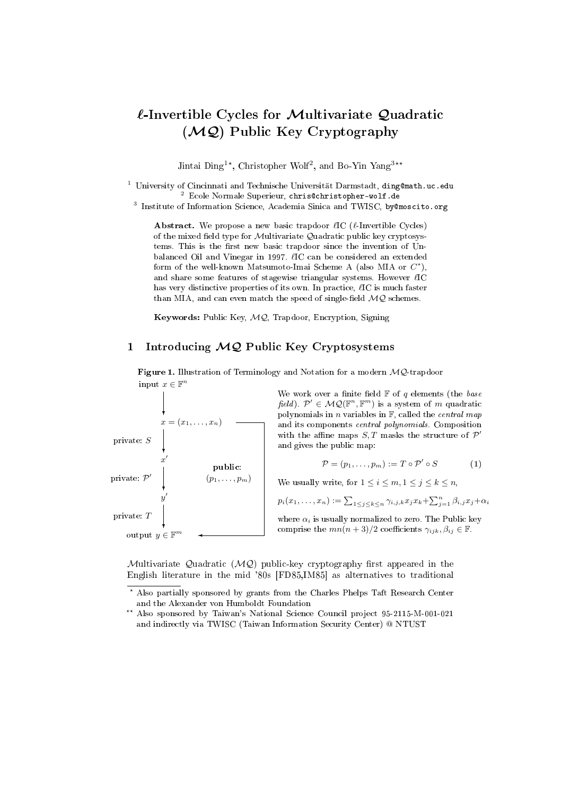# $\ell$ -Invertible Cycles for Multivariate Quadratic (MQ) Public Key Cryptography

Jintai Ding<sup>1\*</sup>, Christopher Wolf<sup>2</sup>, and Bo-Yin Yang<sup>3\*\*</sup>

<sup>1</sup> University of Cincinnati and Technische Universität Darmstadt, ding@math.uc.edu <sup>2</sup> Ecole Normale Superieur, chris@christopher-wolf.de

<sup>3</sup> Institute of Information Science, Academia Sinica and TWISC, by@moscito.org

**Abstract.** We propose a new basic trapdoor  $\ell$ IC ( $\ell$ -Invertible Cycles) of the mixed field type for Multivariate Quadratic public key cryptosystems. This is the first new basic trapdoor since the invention of Unbalanced Oil and Vinegar in 1997.  $\ell$ IC can be considered an extended form of the well-known Matsumoto-Imai Scheme A (also MIA or  $C^*$ ), and share some features of stagewise triangular systems. However  $\ell$ IC has very distinctive properties of its own. In practice,  $\ell$ IC is much faster than MIA, and can even match the speed of single-field  $MQ$  schemes.

Keywords: Public Key, MQ, Trapdoor, Encryption, Signing

# 1 Introducing  $MQ$  Public Key Cryptosystems

Figure 1. Illustration of Terminology and Notation for a modern  $MQ$ -trapdoor input  $x \in \mathbb{F}^n$ 



We work over a finite field  $\mathbb F$  of q elements (the base field).  $\mathcal{P}' \in \mathcal{MQ}(\mathbb{F}^n, \mathbb{F}^m)$  is a system of m quadratic polynomials in n variables in  $F$ , called the *central map* and its components central polynomials. Composition with the affine maps  $S, T$  masks the structure of  $\mathcal{P}'$ and gives the public map:

$$
\mathcal{P} = (p_1, \dots, p_m) := T \circ \mathcal{P}' \circ S \tag{1}
$$

We usually write, for  $1 \leq i \leq m, 1 \leq j \leq k \leq n$ ,

$$
p_i(x_1,\ldots,x_n) := \sum_{1 \leq j \leq k \leq n} \gamma_{i,j,k} x_j x_k + \sum_{j=1}^n \beta_{i,j} x_j + \alpha_i
$$

where  $\alpha_i$  is usually normalized to zero. The Public key comprise the  $mn(n+3)/2$  coefficients  $\gamma_{ijk}, \beta_{ij} \in \mathbb{F}$ .

Multivariate Quadratic (MQ) public-key cryptography first appeared in the English literature in the mid '80s [FD85,IM85] as alternatives to traditional

<sup>?</sup> Also partially sponsored by grants from the Charles Phelps Taft Research Center and the Alexander von Humboldt Foundation

<sup>\*\*</sup> Also sponsored by Taiwan's National Science Council project 95-2115-M-001-021 and indirectly via TWISC (Taiwan Information Security Center) @ NTUST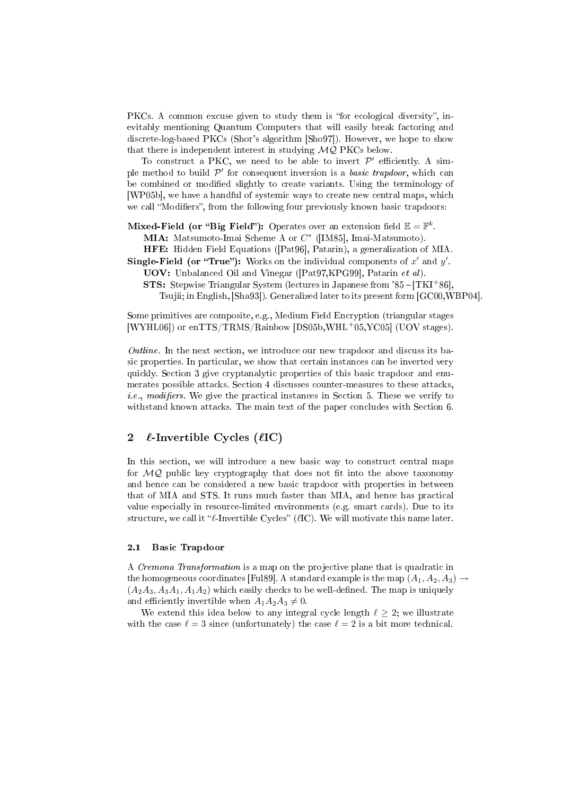PKCs. A common excuse given to study them is "for ecological diversity", inevitably mentioning Quantum Computers that will easily break factoring and discrete-log-based PKCs (Shor's algorithm [Sho97]). However, we hope to show that there is independent interest in studying  $MQ$  PKCs below.

To construct a PKC, we need to be able to invert  $\mathcal{P}'$  efficiently. A simple method to build  $\mathcal{P}'$  for consequent inversion is a *basic trapdoor*, which can be combined or modified slightly to create variants. Using the terminology of [WP05b], we have a handful of systemic ways to create new central maps, which we call "Modifiers", from the following four previously known basic trapdoors:

Mixed-Field (or "Big Field"): Operates over an extension field  $\mathbb{E} = \mathbb{F}^k$ .

MIA: Matsumoto-Imai Scheme A or  $C^*$  ([IM85], Imai-Matsumoto).

HFE: Hidden Field Equations ([Pat96], Patarin), a generalization of MIA.

Single-Field (or "True"): Works on the individual components of  $x'$  and  $y'$ .

UOV: Unbalanced Oil and Vinegar ([Pat97,KPG99], Patarin et al).

**STS:** Stepwise Triangular System (lectures in Japanese from  $85 - [TKI + 86]$ , Tsujii; in English, [Sha93]). Generalized later to its present form [GC00,WBP04].

Some primitives are composite, e.g., Medium Field Encryption (triangular stages [WYHL06]) or enTTS/TRMS/Rainbow [DS05b,WHL<sup>+</sup>05,YC05] (UOV stages).

Outline. In the next section, we introduce our new trapdoor and discuss its basic properties. In particular, we show that certain instances can be inverted very quickly. Section 3 give cryptanalytic properties of this basic trapdoor and enumerates possible attacks. Section 4 discusses counter-measures to these attacks, *i.e.*, modifiers. We give the practical instances in Section 5. These we verify to withstand known attacks. The main text of the paper concludes with Section 6.

# 2  $\ell$ -Invertible Cycles ( $\ell$ IC)

In this section, we will introduce a new basic way to construct central maps for  $MQ$  public key cryptography that does not fit into the above taxonomy and hence can be considered a new basic trapdoor with properties in between that of MIA and STS. It runs much faster than MIA, and hence has practical value especially in resource-limited environments (e.g. smart cards). Due to its structure, we call it " $\ell$ -Invertible Cycles" ( $\ell$ IC). We will motivate this name later.

#### 2.1 Basic Trapdoor

A Cremona Transformation is a map on the projective plane that is quadratic in the homogeneous coordinates [Ful89]. A standard example is the map  $(A_1, A_2, A_3) \rightarrow$  $(A_2A_3, A_3A_1, A_1A_2)$  which easily checks to be well-defined. The map is uniquely and efficiently invertible when  $A_1A_2A_3 \neq 0$ .

We extend this idea below to any integral cycle length  $\ell > 2$ ; we illustrate with the case  $\ell = 3$  since (unfortunately) the case  $\ell = 2$  is a bit more technical.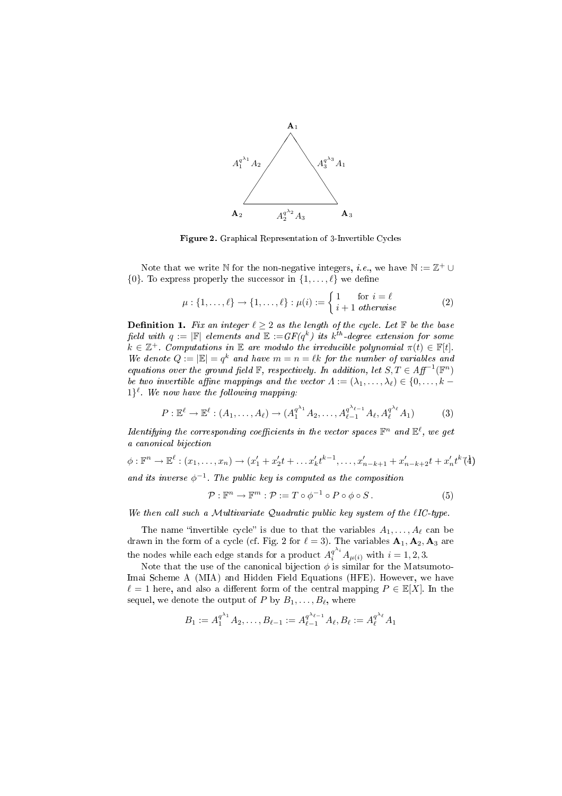

Figure 2. Graphical Representation of 3-Invertible Cycles

Note that we write N for the non-negative integers, *i.e.*, we have  $\mathbb{N} := \mathbb{Z}^+ \cup$  $\{0\}$ . To express properly the successor in  $\{1, \ldots, \ell\}$  we define

$$
\mu: \{1, \ldots, \ell\} \to \{1, \ldots, \ell\} : \mu(i) := \begin{cases} 1 & \text{for } i = \ell \\ i + 1 & \text{otherwise} \end{cases} \tag{2}
$$

**Definition 1.** Fix an integer  $\ell \geq 2$  as the length of the cycle. Let  $\mathbb F$  be the base field with  $q := |\mathbb{F}|$  elements and  $\mathbb{E} := GF(q^k)$  its  $k^{th}$ -degree extension for some  $k \in \mathbb{Z}^+$ . Computations in  $\mathbb E$  are modulo the irreducible polynomial  $\pi(t) \in \mathbb F[t]$ . We denote  $Q := |\mathbb{E}| = q^k$  and have  $m = n = \ell k$  for the number of variables and equations over the ground field  $\mathbb F$ , respectively. In addition, let  $S, T \in Aff^{-1}(\mathbb F^n)$ be two invertible affine mappings and the vector  $\Lambda := (\lambda_1, \ldots, \lambda_\ell) \in \{0, \ldots, k - \ell\}$  $1\}^{\ell}$ . We now have the following mapping:

$$
P: \mathbb{E}^{\ell} \to \mathbb{E}^{\ell} : (A_1, \dots, A_{\ell}) \to (A_1^{q^{\lambda_1}} A_2, \dots, A_{\ell-1}^{q^{\lambda_{\ell-1}}} A_{\ell}, A_{\ell}^{q^{\lambda_{\ell}}} A_1)
$$
(3)

Identifying the corresponding coefficients in the vector spaces  $\mathbb{F}^n$  and  $\mathbb{E}^\ell$ , we get a canonical bijection

$$
\phi: \mathbb{F}^n \to \mathbb{E}^{\ell}: (x_1, \dots, x_n) \to (x_1' + x_2' t + \dots x_k' t^{k-1}, \dots, x_{n-k+1}' + x_{n-k+2}' t + x_n' t^k \uparrow \stackrel{\lambda}{4})
$$

and its inverse  $\phi^{-1}$ . The public key is computed as the composition

$$
\mathcal{P}: \mathbb{F}^n \to \mathbb{F}^m: \mathcal{P} := T \circ \phi^{-1} \circ P \circ \phi \circ S.
$$
 (5)

We then call such a Multivariate Quadratic public key system of the  $\ell I C$ -type.

The name "invertible cycle" is due to that the variables  $A_1, \ldots, A_\ell$  can be drawn in the form of a cycle (cf. Fig. 2 for  $\ell = 3$ ). The variables  $\mathbf{A}_1, \mathbf{A}_2, \mathbf{A}_3$  are the nodes while each edge stands for a product  $A_i^{q^{\lambda_i}} A_{\mu(i)}$  with  $i = 1, 2, 3$ .

Note that the use of the canonical bijection  $\phi$  is similar for the Matsumoto-Imai Scheme A (MIA) and Hidden Field Equations (HFE). However, we have  $\ell = 1$  here, and also a different form of the central mapping  $P \in \mathbb{E}[X]$ . In the sequel, we denote the output of P by  $B_1, \ldots, B_\ell$ , where

$$
B_1 := A_1^{q^{\lambda_1}} A_2, \dots, B_{\ell-1} := A_{\ell-1}^{q^{\lambda_{\ell-1}}} A_{\ell}, B_{\ell} := A_{\ell}^{q^{\lambda_{\ell}}} A_1
$$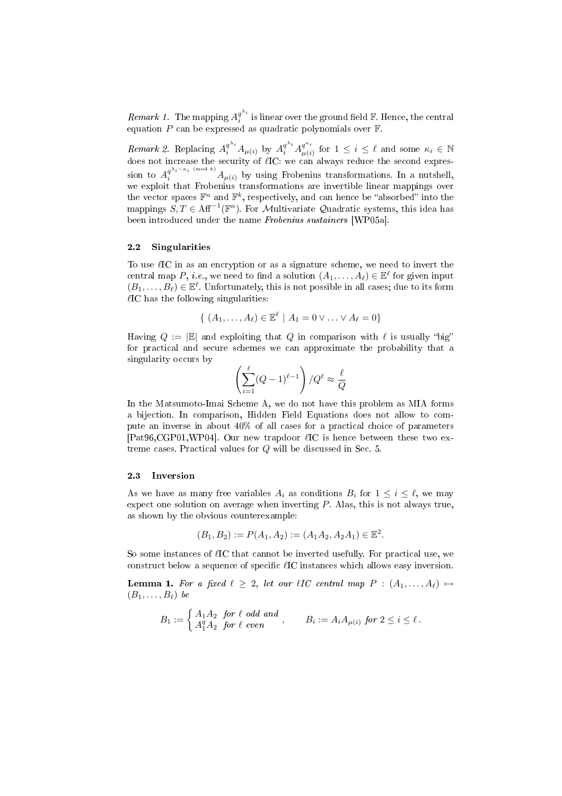*Remark 1*. The mapping  $A_i^{q^{\lambda_i}}$  $\frac{q^{n_i}}{i}$  is linear over the ground field  $\mathbb F.$  Hence, the central equation  $P$  can be expressed as quadratic polynomials over  $\mathbb F$ .

Remark 2. Replacing  $A_i^{q^{\lambda_i}} A_{\mu(i)}$  by  $A_i^{q^{\lambda_i}} A_{\mu(i)}^{q^{\kappa_i}}$  $\mu^{q^{n_i}}_{\mu(i)}$  for  $1 \leq i \leq \ell$  and some  $\kappa_i \in \mathbb{N}$ does not increase the security of  $\ell$ IC: we can always reduce the second expression to  $A_i^{q^{\lambda_i-\kappa_i \pmod k}} A_{\mu(i)}$  by using Frobenius transformations. In a nutshell, we exploit that Frobenius transformations are invertible linear mappings over the vector spaces  $\mathbb{F}^n$  and  $\mathbb{F}^k$ , respectively, and can hence be "absorbed" into the mappings  $S, T \in \text{Aff}^{-1}(\mathbb{F}^n)$ . For Multivariate Quadratic systems, this idea has been introduced under the name Frobenius sustainers [WP05a].

#### 2.2 Singularities

To use  $\ell$ IC in as an encryption or as a signature scheme, we need to invert the central map P, i.e., we need to find a solution  $(A_1, \ldots, A_\ell) \in \mathbb{E}^\ell$  for given input  $(B_1, \ldots, B_\ell) \in \mathbb{E}^\ell$ . Unfortunately, this is not possible in all cases; due to its form  $\ell$ IC has the following singularities:

$$
\{ (A_1,\ldots,A_\ell) \in \mathbb{E}^\ell \mid A_1 = 0 \vee \ldots \vee A_\ell = 0 \}
$$

Having  $Q := |\mathbb{E}|$  and exploiting that Q in comparison with  $\ell$  is usually "big" for practical and secure schemes we can approximate the probability that a singularity occurs by !<br>.

$$
\left(\sum_{i=1}^\ell (Q-1)^{\ell-1}\right)/Q^\ell\approx \frac{\ell}{Q}
$$

In the Matsumoto-Imai Scheme A, we do not have this problem as MIA forms a bijection. In comparison, Hidden Field Equations does not allow to compute an inverse in about 40% of all cases for a practical choice of parameters [Pat96,CGP01,WP04]. Our new trapdoor  $\ell$ IC is hence between these two extreme cases. Practical values for Q will be discussed in Sec. 5.

#### 2.3 Inversion

As we have as many free variables  $A_i$  as conditions  $B_i$  for  $1 \leq i \leq \ell$ , we may expect one solution on average when inverting  $P$ . Alas, this is not always true, as shown by the obvious counterexample:

$$
(B_1, B_2) := P(A_1, A_2) := (A_1 A_2, A_2 A_1) \in \mathbb{E}^2.
$$

So some instances of  $\ell$ IC that cannot be inverted usefully. For practical use, we construct below a sequence of specific  $\ell$ IC instances which allows easy inversion.

**Lemma 1.** For a fixed  $\ell \geq 2$ , let our  $\ell IC$  central map  $P : (A_1, \ldots, A_\ell) \mapsto$  $(B_1, \ldots, B_\ell)$  be

$$
B_1 := \begin{cases} A_1 A_2 \text{ for } \ell \text{ odd and} \\ A_1^q A_2 \text{ for } \ell \text{ even} \end{cases}, \qquad B_i := A_i A_{\mu(i)} \text{ for } 2 \leq i \leq \ell.
$$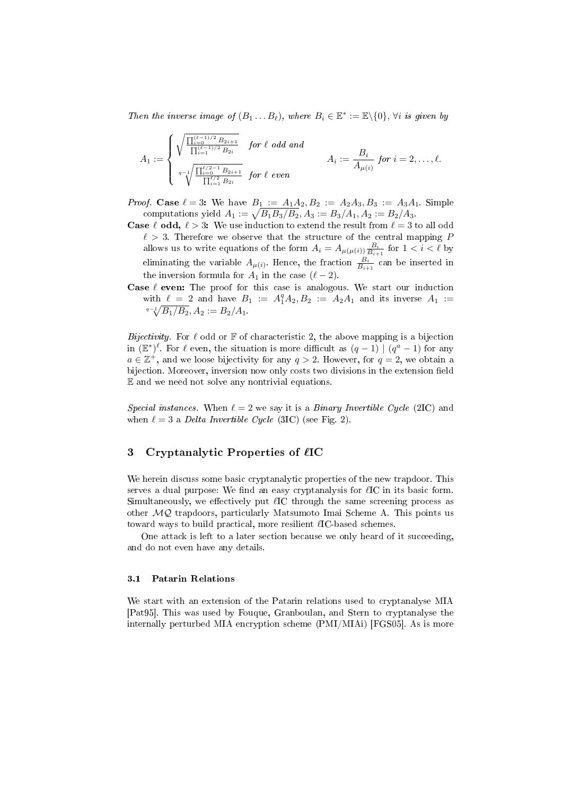Then the inverse image of  $(B_1 \dots B_\ell)$ , where  $B_i \in \mathbb{E}^* := \mathbb{E} \setminus \{0\}$ ,  $\forall i$  is given by

$$
A_1 := \begin{cases} \sqrt{\frac{\prod_{i=0}^{(\ell-1)/2} B_{2i+1}}{\prod_{i=1}^{(\ell-1)/2} B_{2i}}} & \text{for } \ell \text{ odd and} \\ a_1 := \frac{B_i}{A_{\mu(i)}} & \text{for } i = 2, \ldots, \ell. \\ \sqrt{\frac{\prod_{i=0}^{\ell/2-1} B_{2i+1}}{\prod_{i=1}^{\ell/2} B_{2i}}} & \text{for } \ell \text{ even} \end{cases}
$$

*Proof.* Case  $\ell = 3$ : We have  $B_1 := A_1 A_2, B_2 := A_2 A_3, B_3 := A_3 A_1$ . Simple of. Case  $\ell = 3$ : We have  $B_1 := A_1 A_2$ ,  $B_2 := A_2 A_3$ ,  $B_3 := A_3 A_2$ <br>computations yield  $A_1 := \sqrt{B_1 B_3/B_2}$ ,  $A_3 := B_3/A_1$ ,  $A_2 := B_2/A_3$ .

- **Case**  $\ell$  odd,  $\ell > 3$ : We use induction to extend the result from  $\ell = 3$  to all odd  $\ell > 3$ . Therefore we observe that the structure of the central mapping P allows us to write equations of the form  $A_i = A_{\mu(\mu(i))} \frac{B_i}{B_{i+1}}$  for  $1 < i < \ell$  by eliminating the variable  $A_{\mu(i)}$ . Hence, the fraction  $\frac{B_i}{B_{i+1}}$  can be inserted in the inversion formula for  $A_1$  in the case ( $\ell - 2$ ).
- Case  $\ell$  even: The proof for this case is analogous. We start our induction with  $\ell = 2$  and have  $B_1 := A_1^q A_2, B_2 := A_2 A_1$  and its inverse  $A_1 :=$  $q_{-1}/B_1/B_2$ ,  $A_2 := B_2/A_1$ .

Bijectivity. For  $\ell$  odd or  $\mathbb F$  of characteristic 2, the above mapping is a bijection in  $(\mathbb{E}^*)^{\ell}$ . For  $\ell$  even, the situation is more difficult as  $(q-1) | (q^a-1)$  for any  $a \in \mathbb{Z}^+$ , and we loose bijectivity for any  $q > 2$ . However, for  $q = 2$ , we obtain a bijection. Moreover, inversion now only costs two divisions in the extension field E and we need not solve any nontrivial equations.

Special instances. When  $\ell = 2$  we say it is a Binary Invertible Cycle (2IC) and when  $\ell = 3$  a Delta Invertible Cycle (3IC) (see Fig. 2).

# 3 Cryptanalytic Properties of  $\ell$ IC

We herein discuss some basic cryptanalytic properties of the new trapdoor. This serves a dual purpose: We find an easy cryptanalysis for  $\ell$ IC in its basic form. Simultaneously, we effectively put  $\ell$ IC through the same screening process as other  $MQ$  trapdoors, particularly Matsumoto Imai Scheme A. This points us toward ways to build practical, more resilient  $\ell$ IC-based schemes.

One attack is left to a later section because we only heard of it succeeding, and do not even have any details.

#### 3.1 Patarin Relations

We start with an extension of the Patarin relations used to cryptanalyse MIA [Pat95]. This was used by Fouque, Granboulan, and Stern to cryptanalyse the internally perturbed MIA encryption scheme (PMI/MIAi) [FGS05]. As is more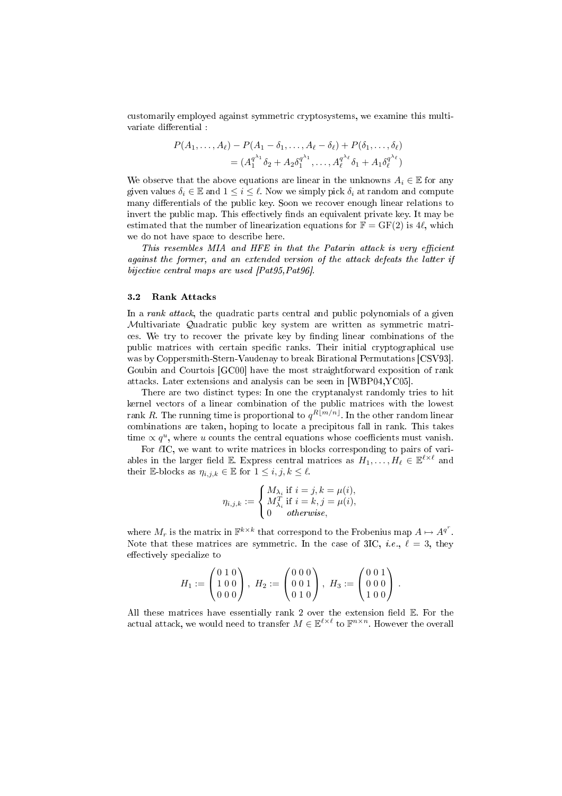customarily employed against symmetric cryptosystems, we examine this multivariate differential :

$$
P(A_1, ..., A_\ell) - P(A_1 - \delta_1, ..., A_\ell - \delta_\ell) + P(\delta_1, ..., \delta_\ell)
$$
  
=  $(A_1^{q^{\lambda_1}} \delta_2 + A_2 \delta_1^{q^{\lambda_1}}, ..., A_\ell^{q^{\lambda_\ell}} \delta_1 + A_1 \delta_\ell^{q^{\lambda_\ell}})$ 

We observe that the above equations are linear in the unknowns  $A_i \in \mathbb{E}$  for any given values  $\delta_i \in \mathbb{E}$  and  $1 \leq i \leq \ell$ . Now we simply pick  $\delta_i$  at random and compute many differentials of the public key. Soon we recover enough linear relations to invert the public map. This effectively finds an equivalent private key. It may be estimated that the number of linearization equations for  $\mathbb{F} = \text{GF}(2)$  is 4 $\ell$ , which we do not have space to describe here.

This resembles MIA and HFE in that the Patarin attack is very efficient against the former, and an extended version of the attack defeats the latter if bijective central maps are used [Pat95,Pat96].

#### 3.2 Rank Attacks

In a *rank attack*, the quadratic parts central and public polynomials of a given Multivariate Quadratic public key system are written as symmetric matrices. We try to recover the private key by finding linear combinations of the public matrices with certain specific ranks. Their initial cryptographical use was by Coppersmith-Stern-Vaudenay to break Birational Permutations [CSV93]. Goubin and Courtois [GC00] have the most straightforward exposition of rank attacks. Later extensions and analysis can be seen in [WBP04,YC05].

There are two distinct types: In one the cryptanalyst randomly tries to hit kernel vectors of a linear combination of the public matrices with the lowest  $\operatorname*{rank}R.$  The running time is proportional to  $q^{R \lfloor m/n \rfloor}.$  In the other random linear combinations are taken, hoping to locate a precipitous fall in rank. This takes time  $\propto q^u$ , where u counts the central equations whose coefficients must vanish.

For  $\ell$ IC, we want to write matrices in blocks corresponding to pairs of variables in the larger field E. Express central matrices as  $H_1, \ldots, H_\ell \in \mathbb{E}^{\ell \times \ell}$  and their E-blocks as  $\eta_{i,j,k} \in \mathbb{E}$  for  $1 \leq i, j, k \leq \ell$ .

$$
\eta_{i,j,k} := \begin{cases} M_{\lambda_i} \text{ if } i = j, k = \mu(i), \\ M_{\lambda_i}^T \text{ if } i = k, j = \mu(i), \\ 0 \quad \text{otherwise}, \end{cases}
$$

where  $M_r$  is the matrix in  $\mathbb{F}^{k \times k}$  that correspond to the Frobenius map  $A \mapsto A^{q^r}.$ Note that these matrices are symmetric. In the case of 3IC, *i.e.*,  $\ell = 3$ , they effectively specialize to

$$
H_1 := \begin{pmatrix} 0 & 1 & 0 \\ 1 & 0 & 0 \\ 0 & 0 & 0 \end{pmatrix}, H_2 := \begin{pmatrix} 0 & 0 & 0 \\ 0 & 0 & 1 \\ 0 & 1 & 0 \end{pmatrix}, H_3 := \begin{pmatrix} 0 & 0 & 1 \\ 0 & 0 & 0 \\ 1 & 0 & 0 \end{pmatrix}.
$$

All these matrices have essentially rank 2 over the extension field  $E$ . For the actual attack, we would need to transfer  $M \in \mathbb{E}^{\ell \times \ell}$  to  $\mathbb{F}^{n \times n}.$  However the overall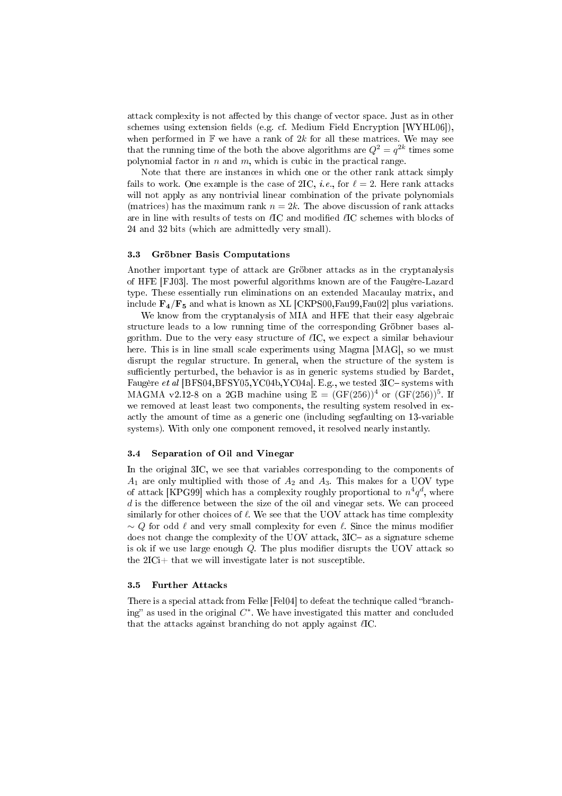attack complexity is not affected by this change of vector space. Just as in other schemes using extension fields (e.g. cf. Medium Field Encryption  $[WYHL06]$ ), when performed in  $\mathbb F$  we have a rank of  $2k$  for all these matrices. We may see that the running time of the both the above algorithms are  $Q^2=q^{2k}$  times some polynomial factor in n and m, which is cubic in the practical range.

Note that there are instances in which one or the other rank attack simply fails to work. One example is the case of 2IC, *i.e.*, for  $\ell = 2$ . Here rank attacks will not apply as any nontrivial linear combination of the private polynomials (matrices) has the maximum rank  $n = 2k$ . The above discussion of rank attacks are in line with results of tests on  $\ell$ IC and modified  $\ell$ IC schemes with blocks of 24 and 32 bits (which are admittedly very small).

#### 3.3 Gröbner Basis Computations

Another important type of attack are Gröbner attacks as in the cryptanalysis of HFE [FJ03]. The most powerful algorithms known are of the Faugère-Lazard type. These essentially run eliminations on an extended Macaulay matrix, and include  $\mathbf{F}_4/\mathbf{F}_5$  and what is known as XL [CKPS00, Fau99, Fau02] plus variations.

We know from the cryptanalysis of MIA and HFE that their easy algebraic structure leads to a low running time of the corresponding Gröbner bases algorithm. Due to the very easy structure of  $\ell$ IC, we expect a similar behaviour here. This is in line small scale experiments using Magma [MAG], so we must disrupt the regular structure. In general, when the structure of the system is sufficiently perturbed, the behavior is as in generic systems studied by Bardet, Faugère et al [BFS04,BFSY05,YC04b,YC04a]. E.g., we tested  $3IC$ -systems with MAGMA v2.12-8 on a 2GB machine using  $\mathbb{E} = (\text{GF}(256))^4$  or  $(\text{GF}(256))^5$ . If we removed at least least two components, the resulting system resolved in exactly the amount of time as a generic one (including segfaulting on 13-variable systems). With only one component removed, it resolved nearly instantly.

#### 3.4 Separation of Oil and Vinegar

In the original 3IC, we see that variables corresponding to the components of  $A_1$  are only multiplied with those of  $A_2$  and  $A_3$ . This makes for a UOV type of attack [KPG99] which has a complexity roughly proportional to  $n^4q^d$ , where  $d$  is the difference between the size of the oil and vinegar sets. We can proceed similarly for other choices of  $\ell$ . We see that the UOV attack has time complexity  $\sim Q$  for odd  $\ell$  and very small complexity for even  $\ell$ . Since the minus modifier does not change the complexity of the UOV attack, 3IC- as a signature scheme is ok if we use large enough  $Q$ . The plus modifier disrupts the UOV attack so the 2ICi+ that we will investigate later is not susceptible.

#### 3.5 Further Attacks

There is a special attack from Felke [Fel04] to defeat the technique called "branching" as used in the original  $C^*$ . We have investigated this matter and concluded that the attacks against branching do not apply against  $\ell$ IC.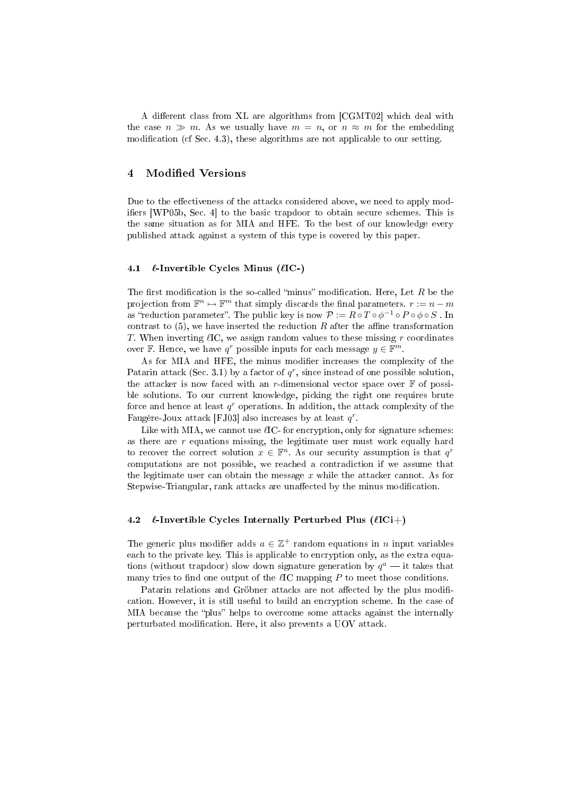A different class from XL are algorithms from [CGMT02] which deal with the case  $n \gg m$ . As we usually have  $m = n$ , or  $n \approx m$  for the embedding modification (cf Sec. 4.3), these algorithms are not applicable to our setting.

# 4 Modified Versions

Due to the effectiveness of the attacks considered above, we need to apply modifiers [WP05b, Sec. 4] to the basic trapdoor to obtain secure schemes. This is the same situation as for MIA and HFE. To the best of our knowledge every published attack against a system of this type is covered by this paper.

#### 4.1  $\ell$ -Invertible Cycles Minus ( $\ell$ IC-)

The first modification is the so-called "minus" modification. Here, Let  $R$  be the projection from  $\mathbb{F}^n \mapsto \mathbb{F}^m$  that simply discards the final parameters.  $r := n - m$ as "reduction parameter". The public key is now  $\mathcal{P}:=R\circ T\circ \phi^{-1}\circ P\circ \phi\circ S$  . In contrast to  $(5)$ , we have inserted the reduction R after the affine transformation T. When inverting  $\ell$ IC, we assign random values to these missing r coordinates over  $\mathbb{F}$ . Hence, we have  $q^r$  possible inputs for each message  $y \in \mathbb{F}^m$ .

As for MIA and HFE, the minus modifier increases the complexity of the Patarin attack (Sec. 3.1) by a factor of  $q^r$ , since instead of one possible solution, the attacker is now faced with an r-dimensional vector space over  $\mathbb F$  of possible solutions. To our current knowledge, picking the right one requires brute force and hence at least  $q^r$  operations. In addition, the attack complexity of the Faugère-Joux attack [FJ03] also increases by at least  $q^r$ .

Like with MIA, we cannot use  $\ell$ IC- for encryption, only for signature schemes: as there are  $r$  equations missing, the legitimate user must work equally hard to recover the correct solution  $x \in \mathbb{F}^n$ . As our security assumption is that  $q^r$ computations are not possible, we reached a contradiction if we assume that the legitimate user can obtain the message  $x$  while the attacker cannot. As for Stepwise-Triangular, rank attacks are unaffected by the minus modification.

#### 4.2  $\ell$ -Invertible Cycles Internally Perturbed Plus ( $\ell$ ICi+)

The generic plus modifier adds  $a \in \mathbb{Z}^+$  random equations in n input variables each to the private key. This is applicable to encryption only, as the extra equations (without trapdoor) slow down signature generation by  $q^a$  — it takes that many tries to find one output of the  $\ell$ IC mapping P to meet those conditions.

Patarin relations and Gröbner attacks are not affected by the plus modification. However, it is still useful to build an encryption scheme. In the case of MIA because the "plus" helps to overcome some attacks against the internally perturbated modification. Here, it also prevents a UOV attack.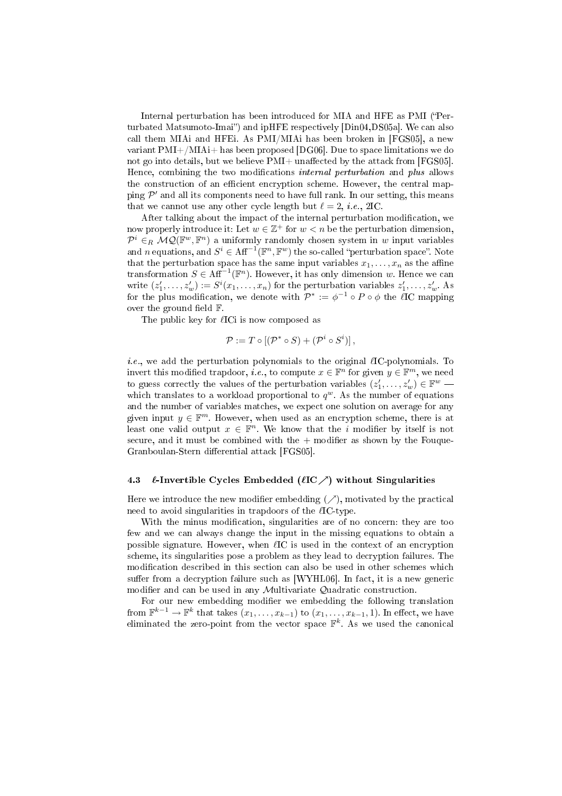Internal perturbation has been introduced for MIA and HFE as PMI (Perturbated Matsumoto-Imai") and ipHFE respectively [Din04,DS05a]. We can also call them MIAi and HFEi. As PMI/MIAi has been broken in [FGS05], a new variant PMI+/MIAi+ has been proposed [DG06]. Due to space limitations we do not go into details, but we believe  $PMI+$  unaffected by the attack from [FGS05]. Hence, combining the two modifications *internal perturbation* and *plus* allows the construction of an efficient encryption scheme. However, the central mapping  $\mathcal{P}'$  and all its components need to have full rank. In our setting, this means that we cannot use any other cycle length but  $\ell = 2$ , *i.e.*, 2IC.

After talking about the impact of the internal perturbation modification, we now properly introduce it: Let  $w \in \mathbb{Z}^+$  for  $w < n$  be the perturbation dimension,  $\mathcal{P}^i \in_R \mathcal{MQ}(\mathbb{F}^w, \mathbb{F}^n)$  a uniformly randomly chosen system in w input variables and n equations, and  $S^i \in \text{Aff}^{-1}(\mathbb{F}^n, \mathbb{F}^w)$  the so-called "perturbation space". Note that the perturbation space has the same input variables  $x_1, \ldots, x_n$  as the affine transformation  $S \in \mathrm{Aff}^{-1}(\mathbb{F}^n)$ . However, it has only dimension w. Hence we can write  $(z'_1, \ldots, z'_w) := S^i(x_1, \ldots, x_n)$  for the perturbation variables  $z'_1, \ldots, z'_w$ . As write  $(z_1, \ldots, z_w) := S(x_1, \ldots, x_n)$  for the perturbation variables  $z_1, \ldots, z_w$ . As<br>for the plus modification, we denote with  $\mathcal{P}^* := \phi^{-1} \circ P \circ \phi$  the lIC mapping over the ground field  $\mathbb{F}$ .

The public key for  $\ell I$ Ci is now composed as

$$
\mathcal{P} := T \circ [(\mathcal{P}^* \circ S) + (\mathcal{P}^i \circ S^i)],
$$

*i.e.*, we add the perturbation polynomials to the original  $\ell$ IC-polynomials. To invert this modified trapdoor, *i.e.*, to compute  $x \in \mathbb{F}^n$  for given  $y \in \mathbb{F}^m$ , we need to guess correctly the values of the perturbation variables  $(z'_1, \ldots, z'_w) \in \mathbb{F}^w$  which translates to a workload proportional to  $q^w$ . As the number of equations and the number of variables matches, we expect one solution on average for any given input  $y \in \mathbb{F}^m$ . However, when used as an encryption scheme, there is at least one valid output  $x \in \mathbb{F}^n$ . We know that the *i* modifier by itself is not secure, and it must be combined with the  $+$  modifier as shown by the Fouque-Granboulan-Stern differential attack [FGS05].

### 4.3  $\ell$ -Invertible Cycles Embedded ( $\ell$ IC $\nearrow$ ) without Singularities

Here we introduce the new modifier embedding  $(\nearrow)$ , motivated by the practical need to avoid singularities in trapdoors of the  $\ell$ IC-type.

With the minus modification, singularities are of no concern: they are too few and we can always change the input in the missing equations to obtain a possible signature. However, when  $\ell$ IC is used in the context of an encryption scheme, its singularities pose a problem as they lead to decryption failures. The modification described in this section can also be used in other schemes which suffer from a decryption failure such as  $[WYHL06]$ . In fact, it is a new generic modifier and can be used in any Multivariate Quadratic construction.

For our new embedding modifier we embedding the following translation from  $\mathbb{F}^{k-1} \to \mathbb{F}^k$  that takes  $(x_1, \ldots, x_{k-1})$  to  $(x_1, \ldots, x_{k-1}, 1)$ . In effect, we have eliminated the zero-point from the vector space  $\mathbb{F}^k$ . As we used the canonical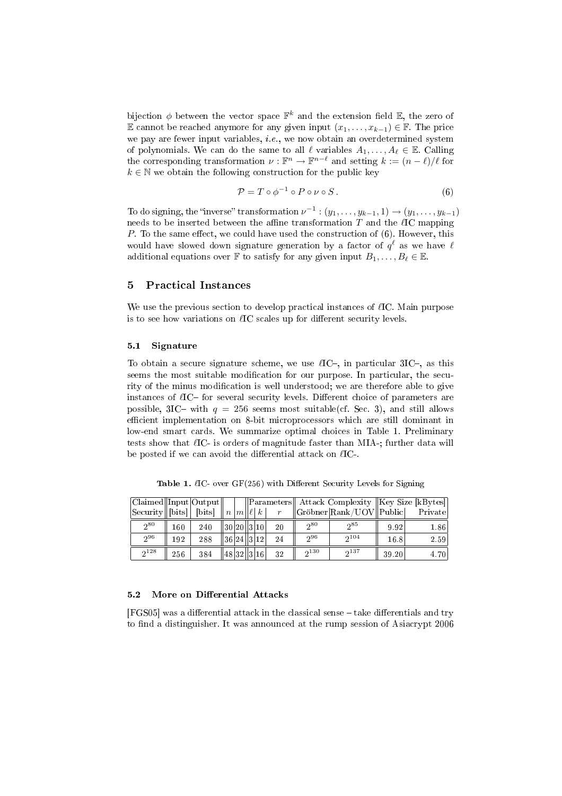bijection  $\phi$  between the vector space  $\mathbb{F}^k$  and the extension field  $\mathbb{E}$ , the zero of E cannot be reached anymore for any given input  $(x_1, \ldots, x_{k-1}) \in \mathbb{F}$ . The price we pay are fewer input variables,  $i.e.,$  we now obtain an overdetermined system of polynomials. We can do the same to all  $\ell$  variables  $A_1, \ldots, A_\ell \in \mathbb{E}$ . Calling the corresponding transformation  $\nu : \mathbb{F}^n \to \mathbb{F}^{n-\ell}$  and setting  $k := (n - \ell)/\ell$  for  $k \in \mathbb{N}$  we obtain the following construction for the public key

$$
\mathcal{P} = T \circ \phi^{-1} \circ P \circ \nu \circ S. \tag{6}
$$

To do signing, the "inverse" transformation  $\nu^{-1}$  :  $(y_1, \ldots, y_{k-1}, 1) \rightarrow (y_1, \ldots, y_{k-1})$ needs to be inserted between the affine transformation  $T$  and the  $\ell$ IC mapping P. To the same effect, we could have used the construction of  $(6)$ . However, this would have slowed down signature generation by a factor of  $q^\ell$  as we have  $\ell$ additional equations over F to satisfy for any given input  $B_1, \ldots, B_\ell \in \mathbb{E}$ .

# 5 Practical Instances

We use the previous section to develop practical instances of  $\ell$ IC. Main purpose is to see how variations on  $\ell$ IC scales up for different security levels.

#### 5.1 Signature

To obtain a secure signature scheme, we use  $\ell$ IC-, in particular 3IC-, as this seems the most suitable modification for our purpose. In particular, the security of the minus modification is well understood; we are therefore able to give instances of  $\ell$ IC- for several security levels. Different choice of parameters are possible, 3IC- with  $q = 256$  seems most suitable(cf. Sec. 3), and still allows efficient implementation on 8-bit microprocessors which are still dominant in low-end smart cards. We summarize optimal choices in Table 1. Preliminary tests show that  $\ell$ IC- is orders of magnitude faster than MIA-; further data will be posted if we can avoid the differential attack on  $\ell$ IC-.

 $\begin{array}{|l|c|c|c|c|}\hline \text{Claimed}}&\text{Input} &\text{Output}\&\text{with} &\text{Parameter}\&\text{Attack} &\text{Complexity}\&\text{Key Size [kBytes]}\\ \text{Security} &\text{[bits]} &\text{bits]} &n & m & \ell & r & \text{Gr\"{o}bner} &\text{Rank/UOV} &\text{Public} &\text{Private} \\\hline \end{array}$  $\begin{array}{|c|c|c|c|c|c|c|c|} \hline \text{[bits]} & \text{[bits]} & n |m||\ell| & k & r & \text{[Gr\"{o}bner}|\text{Rank/UOV}||\text{Public}] & \text{Private} \hline \end{array}$  $2^{80}$  $160 \mid 240 \mid |30| \cdot 20 ||3| \cdot 10 \mid 20$  $2^{80}$   $2^{85}$ <sup>85</sup> 9.92 1.86  $2^{96}$  $192 \mid 288 \mid |36|24||3|12 \mid 24$  $2^{96}$   $2^{104}$  $16.8$  2.59  $\frac{1}{2^{128}}$  $\frac{128}{128}$  256 384 48 32 3 46 32  $\frac{32}{316}$  32  $\frac{2}{3}$  $\overline{2^{130} \quad | \quad 2^{137}}$  $39.20$  4.70

Table 1.  $\ell$ IC- over GF(256) with Different Security Levels for Signing

### 5.2 More on Differential Attacks

 $[FGS05]$  was a differential attack in the classical sense  $-\text{take}$  differentials and try to find a distinguisher. It was announced at the rump session of Asiacrypt 2006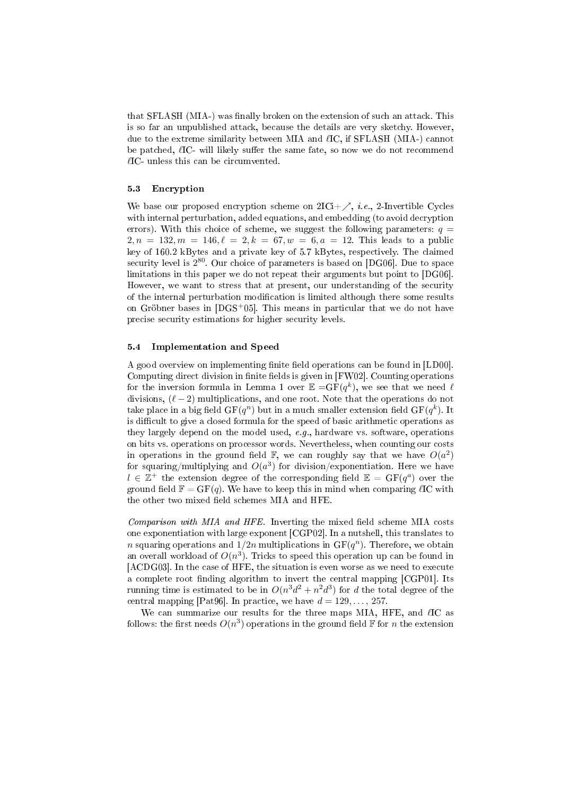that SFLASH (MIA-) was finally broken on the extension of such an attack. This is so far an unpublished attack, because the details are very sketchy. However, due to the extreme similarity between MIA and  $\ell$ IC, if SFLASH (MIA-) cannot be patched,  $\ell$ IC- will likely suffer the same fate, so now we do not recommend  $\ell$ IC- unless this can be circumvented.

#### 5.3 Encryption

We base our proposed encryption scheme on  $2\mathrm{ICi}+\nearrow$ , *i.e.*, 2-Invertible Cycles with internal perturbation, added equations, and embedding (to avoid decryption errors). With this choice of scheme, we suggest the following parameters:  $q =$  $2, n = 132, m = 146, \ell = 2, k = 67, w = 6, a = 12$ . This leads to a public key of 160.2 kBytes and a private key of 5.7 kBytes, respectively. The claimed security level is  $2^{80}$ . Our choice of parameters is based on [DG06]. Due to space limitations in this paper we do not repeat their arguments but point to [DG06]. However, we want to stress that at present, our understanding of the security of the internal perturbation modification is limited although there some results on Gröbner bases in [DGS<sup>+</sup>05]. This means in particular that we do not have precise security estimations for higher security levels.

#### 5.4 Implementation and Speed

A good overview on implementing finite field operations can be found in [LD00]. Computing direct division in finite fields is given in [FW02]. Counting operations for the inversion formula in Lemma 1 over  $\mathbb{E} = \mathbf{GF}(q^k)$ , we see that we need  $\ell$ divisions,  $(\ell - 2)$  multiplications, and one root. Note that the operations do not take place in a big field  $GF(q^n)$  but in a much smaller extension field  $GF(q^k)$ . It is difficult to give a closed formula for the speed of basic arithmetic operations as they largely depend on the model used,  $e, q$ , hardware vs. software, operations on bits vs. operations on processor words. Nevertheless, when counting our costs in operations in the ground field  $\mathbb{F}$ , we can roughly say that we have  $O(a^2)$ for squaring/multiplying and  $O(a^3)$  for division/exponentiation. Here we have  $l \in \mathbb{Z}^+$  the extension degree of the corresponding field  $\mathbb{E} = \mathrm{GF}(q^a)$  over the ground field  $\mathbb{F} = \mathrm{GF}(q)$ . We have to keep this in mind when comparing  $\ell \mathrm{IC}$  with the other two mixed field schemes MIA and HFE.

*Comparison with MIA and HFE.* Inverting the mixed field scheme MIA costs one exponentiation with large exponent [CGP02]. In a nutshell, this translates to n squaring operations and  $1/2n$  multiplications in  $GF(q^n)$ . Therefore, we obtain an overall workload of  $O(n^3)$ . Tricks to speed this operation up can be found in [ACDG03]. In the case of HFE, the situation is even worse as we need to execute a complete root finding algorithm to invert the central mapping [CGP01]. Its running time is estimated to be in  $O(n^3d^2 + n^2d^3)$  for  $d$  the total degree of the central mapping [Pat96]. In practice, we have  $d = 129, \ldots, 257$ .

We can summarize our results for the three maps MIA, HFE, and  $\ell$ IC as follows: the first needs  $O(n^3)$  operations in the ground field  ${\mathbb F}$  for  $n$  the extension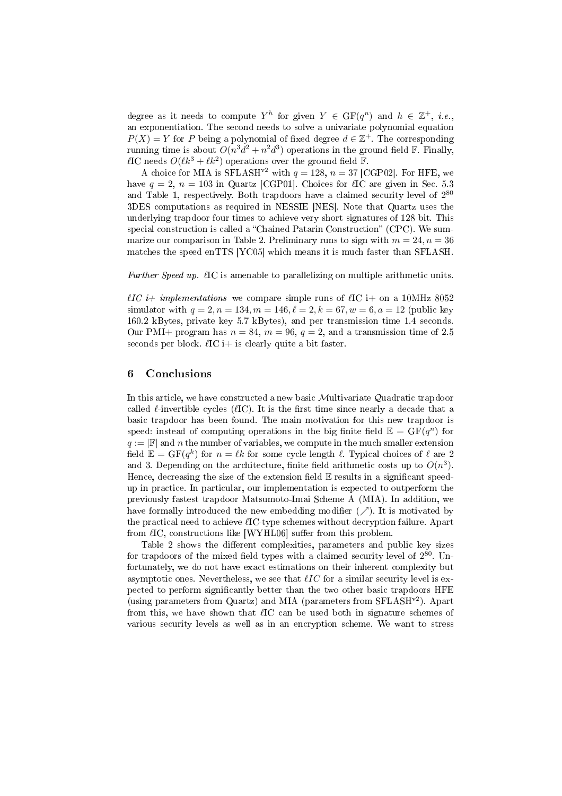degree as it needs to compute  $Y^h$  for given  $Y \in \mathrm{GF}(q^n)$  and  $h \in \mathbb{Z}^+, i.e.,$ an exponentiation. The second needs to solve a univariate polynomial equation  $P(X) = Y$  for P being a polynomial of fixed degree  $d \in \mathbb{Z}^+$ . The corresponding running time is about  $O(n^3d^2 + n^2d^3)$  operations in the ground field  $\mathbb F$ . Finally,  $\ell$ IC needs  $O(\ell k^3 + \ell k^2)$  operations over the ground field  $\mathbb{F}$ .

A choice for MIA is SFLASH<sup>v2</sup> with  $q = 128$ ,  $n = 37$  [CGP02]. For HFE, we have  $q = 2$ ,  $n = 103$  in Quartz [CGP01]. Choices for  $\ell$ IC are given in Sec. 5.3 and Table 1, respectively. Both trapdoors have a claimed security level of  $2^{80}$ 3DES computations as required in NESSIE [NES]. Note that Quartz uses the underlying trapdoor four times to achieve very short signatures of 128 bit. This special construction is called a "Chained Patarin Construction" (CPC). We summarize our comparison in Table 2. Preliminary runs to sign with  $m = 24, n = 36$ matches the speed enTTS [YC05] which means it is much faster than SFLASH.

Further Speed up.  $\ell$ IC is amenable to parallelizing on multiple arithmetic units.

 $\ell IC$  i+ implementations we compare simple runs of  $\ell IC$  i+ on a 10MHz 8052 simulator with  $q = 2, n = 134, m = 146, \ell = 2, k = 67, w = 6, a = 12$  (public key 160.2 kBytes, private key 5.7 kBytes), and per transmission time 1.4 seconds. Our PMI+ program has  $n = 84$ ,  $m = 96$ ,  $q = 2$ , and a transmission time of 2.5 seconds per block.  $\ell$ IC i+ is clearly quite a bit faster.

# 6 Conclusions

In this article, we have constructed a new basic Multivariate Quadratic trapdoor called  $\ell$ -invertible cycles ( $\ell$ IC). It is the first time since nearly a decade that a basic trapdoor has been found. The main motivation for this new trapdoor is speed: instead of computing operations in the big finite field  $\mathbb{E} = \mathrm{GF}(q^n)$  for  $q := |F|$  and n the number of variables, we compute in the much smaller extension field  $\mathbb{E} = \mathrm{GF}(q^k)$  for  $n = \ell k$  for some cycle length  $\ell$ . Typical choices of  $\ell$  are  $2$ and 3. Depending on the architecture, finite field arithmetic costs up to  $O(n^3)$ . Hence, decreasing the size of the extension field  $E$  results in a significant speedup in practice. In particular, our implementation is expected to outperform the previously fastest trapdoor Matsumoto-Imai Scheme A (MIA). In addition, we have formally introduced the new embedding modifier  $(\nearrow)$ . It is motivated by the practical need to achieve  $\ell$ IC-type schemes without decryption failure. Apart from  $\ell$ IC, constructions like [WYHL06] suffer from this problem.

Table 2 shows the different complexities, parameters and public key sizes for trapdoors of the mixed field types with a claimed security level of  $2^{80}$ . Unfortunately, we do not have exact estimations on their inherent complexity but asymptotic ones. Nevertheless, we see that  $\ell IC$  for a similar security level is expected to perform significantly better than the two other basic trapdoors HFE (using parameters from Quartz) and MIA (parameters from SFLASHv2). Apart from this, we have shown that  $\ell$ IC can be used both in signature schemes of various security levels as well as in an encryption scheme. We want to stress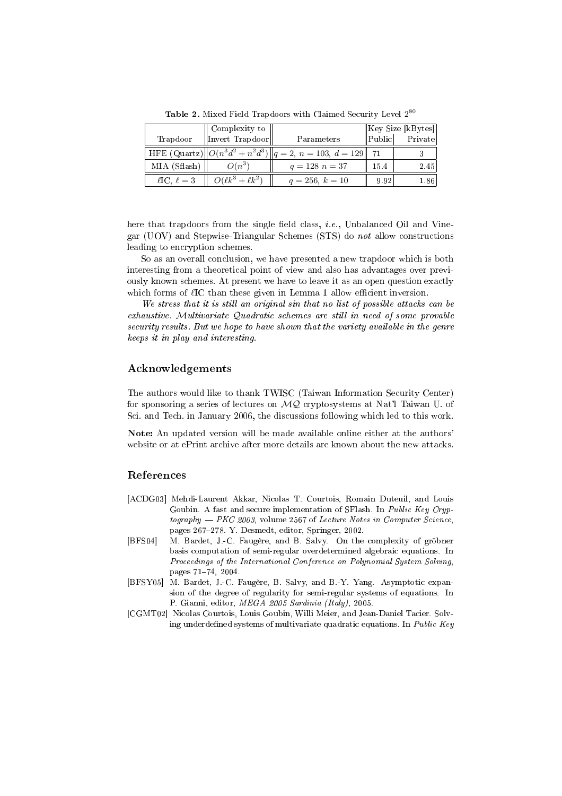|                       | Complexity to            |                                                                        | Key Size [kBytes] |         |
|-----------------------|--------------------------|------------------------------------------------------------------------|-------------------|---------|
| Trapdoor              | Invert Trapdoor          | Parameters                                                             | $ $ Public $ $    | Private |
|                       |                          | HFE (Quartz) $  O(n^3d^2 + n^2d^3)  q = 2$ , $n = 103$ , $d = 129  71$ |                   |         |
| MIA (Sflash)          | $O(n^3)$                 | $q = 128$ $n = 37$                                                     | 15.4              | 2.45    |
| $\ell$ IC, $\ell = 3$ | $O(\ell k^3 + \ell k^2)$ | $q = 256, k = 10$                                                      | 9.92              | 1.86    |

Table 2. Mixed Field Trapdoors with Claimed Security Level 280

here that trapdoors from the single field class, *i.e.*, Unbalanced Oil and Vinegar (UOV) and Stepwise-Triangular Schemes (STS) do not allow constructions leading to encryption schemes.

So as an overall conclusion, we have presented a new trapdoor which is both interesting from a theoretical point of view and also has advantages over previously known schemes. At present we have to leave it as an open question exactly which forms of  $\ell$ IC than these given in Lemma 1 allow efficient inversion.

We stress that it is still an original sin that no list of possible attacks can be exhaustive. Multivariate Quadratic schemes are still in need of some provable security results. But we hope to have shown that the variety available in the genre keeps it in play and interesting.

# Acknowledgements

The authors would like to thank TWISC (Taiwan Information Security Center) for sponsoring a series of lectures on  $MQ$  cryptosystems at Nat'l Taiwan U. of Sci. and Tech. in January 2006, the discussions following which led to this work.

Note: An updated version will be made available online either at the authors' website or at ePrint archive after more details are known about the new attacks.

# References

- [ACDG03] Mehdi-Laurent Akkar, Nicolas T. Courtois, Romain Duteuil, and Louis Goubin. A fast and secure implementation of SFlash. In Public Key Cryp $to graphy - PKC 2003$ , volume 2567 of Lecture Notes in Computer Science, pages 267-278. Y. Desmedt, editor, Springer, 2002.
- [BFS04] M. Bardet, J.-C. Faugère, and B. Salvy. On the complexity of gröbner basis computation of semi-regular overdetermined algebraic equations. In Proceedings of the International Conference on Polynomial System Solving, pages 71-74, 2004.
- [BFSY05] M. Bardet, J.-C. Faugère, B. Salvy, and B.-Y. Yang. Asymptotic expansion of the degree of regularity for semi-regular systems of equations. In P. Gianni, editor, MEGA 2005 Sardinia (Italy), 2005.
- [CGMT02] Nicolas Courtois, Louis Goubin, Willi Meier, and Jean-Daniel Tacier. Solving underdefined systems of multivariate quadratic equations. In *Public Key*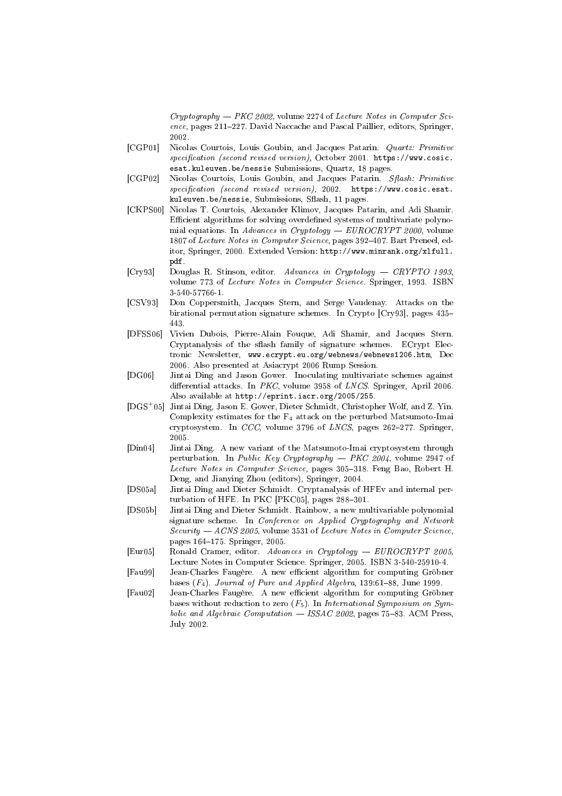$Cryptography - PKC 2002$ , volume 2274 of Lecture Notes in Computer Science, pages 211-227. David Naccache and Pascal Paillier, editors, Springer, 2002.

- [CGP01] Nicolas Courtois, Louis Goubin, and Jacques Patarin. Quartz: Primitive specification (second revised version), October 2001. https://www.cosic. esat.kuleuven.be/nessie Submissions, Quartz, 18 pages.
- [CGP02] Nicolas Courtois, Louis Goubin, and Jacques Patarin. Sflash: Primitive  $specification$  (second revised version), 2002. https://www.cosic.esat. kuleuven.be/nessie, Submissions, Sflash, 11 pages.
- [CKPS00] Nicolas T. Courtois, Alexander Klimov, Jacques Patarin, and Adi Shamir. Efficient algorithms for solving overdefined systems of multivariate polynomial equations. In Advances in Cryptology  $-$  EUROCRYPT 2000, volume 1807 of Lecture Notes in Computer Science, pages 392-407. Bart Preneel, editor, Springer, 2000. Extended Version: http://www.minrank.org/xlfull. pdf.
- [Cry93] Douglas R. Stinson, editor. Advances in Cryptology CRYPTO 1993, volume 773 of Lecture Notes in Computer Science. Springer, 1993. ISBN 3-540-57766-1.
- [CSV93] Don Coppersmith, Jacques Stern, and Serge Vaudenay. Attacks on the birational permutation signature schemes. In Crypto [Cry93], pages 435 443.
- [DFSS06] Vivien Dubois, Pierre-Alain Fouque, Adi Shamir, and Jacques Stern. Cryptanalysis of the sflash family of signature schemes. ECrypt Electronic Newsletter, www.ecrypt.eu.org/webnews/webnews1206.htm, Dec 2006. Also presented at Asiacrypt 2006 Rump Session.
- [DG06] Jintai Ding and Jason Gower. Inoculating multivariate schemes against differential attacks. In  $PKC$ , volume 3958 of  $LNCS$ . Springer, April 2006. Also available at http://eprint.iacr.org/2005/255.
- [DGS<sup>+</sup>05] Jintai Ding, Jason E. Gower, Dieter Schmidt, Christopher Wolf, and Z. Yin. Complexity estimates for the  $F_4$  attack on the perturbed Matsumoto-Imai cryptosystem. In  $CCC$ , volume 3796 of  $LNCS$ , pages 262-277. Springer, 2005.
- [Din04] Jintai Ding. A new variant of the Matsumoto-Imai cryptosystem through perturbation. In Public Key Cryptography  $-$  PKC 2004, volume 2947 of Lecture Notes in Computer Science, pages 305-318. Feng Bao, Robert H. Deng, and Jianying Zhou (editors), Springer, 2004.
- [DS05a] Jintai Ding and Dieter Schmidt. Cryptanalysis of HFEv and internal perturbation of HFE. In PKC [PKC05], pages  $288-301$ .
- [DS05b] Jintai Ding and Dieter Schmidt. Rainbow, a new multivariable polynomial signature scheme. In Conference on Applied Cryptography and Network Security  $-$  ACNS 2005, volume 3531 of Lecture Notes in Computer Science, pages 164-175. Springer, 2005.
- [Eur05] Ronald Cramer, editor. Advances in Cryptology EUROCRYPT 2005, Lecture Notes in Computer Science. Springer, 2005. ISBN 3-540-25910-4.
- [Fau99] Jean-Charles Faugère. A new efficient algorithm for computing Gröbner bases  $(F_4)$ . Journal of Pure and Applied Algebra, 139:61-88, June 1999.
- [Fau02] Jean-Charles Faugère. A new efficient algorithm for computing Gröbner bases without reduction to zero  $(F_5)$ . In International Symposium on Symbolic and Algebraic Computation  $-$  ISSAC 2002, pages 75-83. ACM Press, July 2002.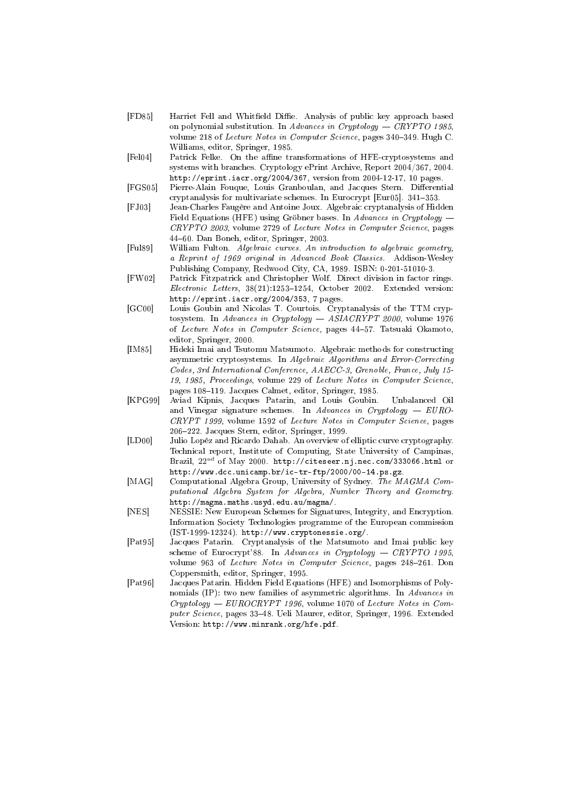- [FD85] Harriet Fell and Whitfield Diffie. Analysis of public key approach based on polynomial substitution. In Advances in Cryptology  $-$  CRYPTO 1985, volume 218 of Lecture Notes in Computer Science, pages 340–349. Hugh C. Williams, editor, Springer, 1985.
- [Fel04] Patrick Felke. On the affine transformations of HFE-cryptosystems and systems with branches. Cryptology ePrint Archive, Report 2004/367, 2004. http://eprint.iacr.org/2004/367, version from 2004-12-17, 10 pages.
- [FGS05] Pierre-Alain Fouque, Louis Granboulan, and Jacques Stern. Differential cryptanalysis for multivariate schemes. In Eurocrypt [Eur05]. 341-353.
- [FJ03] Jean-Charles Faugère and Antoine Joux. Algebraic cryptanalysis of Hidden Field Equations (HFE) using Gröbner bases. In Advances in Cryptology CRYPTO 2003, volume 2729 of Lecture Notes in Computer Science, pages 4460. Dan Boneh, editor, Springer, 2003.
- [Ful89] William Fulton. Algebraic curves. An introduction to algebraic geometry, a Reprint of 1969 original in Advanced Book Classics. Addison-Wesley Publishing Company, Redwood City, CA, 1989. ISBN: 0-201-51010-3.
- [FW02] Patrick Fitzpatrick and Christopher Wolf. Direct division in factor rings.  $Electronic\ Letters, 38(21):1253-1254, October 2002. Extended version:$ http://eprint.iacr.org/2004/353, 7 pages.
- [GC00] Louis Goubin and Nicolas T. Courtois. Cryptanalysis of the TTM cryptosystem. In Advances in Cryptology ASIACRYPT 2000, volume 1976 of Lecture Notes in Computer Science, pages 4457. Tatsuaki Okamoto, editor, Springer, 2000.
- [IM85] Hideki Imai and Tsutomu Matsumoto. Algebraic methods for constructing asymmetric cryptosystems. In Algebraic Algorithms and Error-Correcting Codes, 3rd International Conference, AAECC-3, Grenoble, France, July 15- 19, 1985, Proceedings, volume 229 of Lecture Notes in Computer Science, pages 108-119. Jacques Calmet, editor, Springer, 1985.
- [KPG99] Aviad Kipnis, Jacques Patarin, and Louis Goubin. Unbalanced Oil and Vinegar signature schemes. In Advances in Cryptology  $-$  EURO-CRYPT 1999, volume 1592 of Lecture Notes in Computer Science, pages 206222. Jacques Stern, editor, Springer, 1999.
- [LD00] Julio Lopéz and Ricardo Dahab. An overview of elliptic curve cryptography. Technical report, Institute of Computing, State University of Campinas, Brazil,  $22<sup>nd</sup>$  of May 2000. http://citeseer.nj.nec.com/333066.html or http://www.dcc.unicamp.br/ic-tr-ftp/2000/00-14.ps.gz.
- [MAG] Computational Algebra Group, University of Sydney. The MAGMA Computational Algebra System for Algebra, Number Theory and Geometry. http://magma.maths.usyd.edu.au/magma/.
- [NES] NESSIE: New European Schemes for Signatures, Integrity, and Encryption. Information Society Technologies programme of the European commission (IST-1999-12324). http://www.cryptonessie.org/.
- [Pat95] Jacques Patarin. Cryptanalysis of the Matsumoto and Imai public key scheme of Eurocrypt'88. In Advances in Cryptology  $-$  CRYPTO 1995, volume 963 of Lecture Notes in Computer Science, pages 248-261. Don Coppersmith, editor, Springer, 1995.
- [Pat96] Jacques Patarin. Hidden Field Equations (HFE) and Isomorphisms of Polynomials (IP): two new families of asymmetric algorithms. In Advances in Cryptology EUROCRYPT 1996, volume 1070 of Lecture Notes in Computer Science, pages 33-48. Ueli Maurer, editor, Springer, 1996. Extended Version: http://www.minrank.org/hfe.pdf.